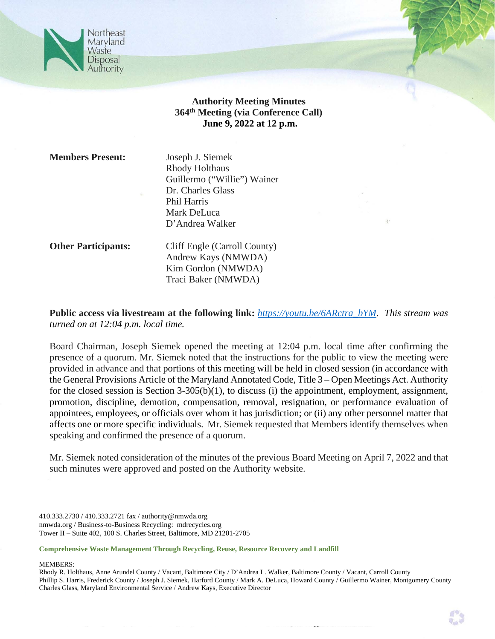

# **Authority Meeting Minutes 364th Meeting (via Conference Call) June 9, 2022 at 12 p.m.**

**Members Present:** Joseph J. Siemek

Rhody Holthaus Guillermo ("Willie") Wainer Dr. Charles Glass Phil Harris Mark DeLuca D'Andrea Walker

**Other Participants:** Cliff Engle (Carroll County) Andrew Kays (NMWDA) Kim Gordon (NMWDA) Traci Baker (NMWDA)

**Public access via livestream at the following link:** *https://youtu.be/6ARctra\_bYM. This stream was turned on at 12:04 p.m. local time.*

Board Chairman, Joseph Siemek opened the meeting at 12:04 p.m. local time after confirming the presence of a quorum. Mr. Siemek noted that the instructions for the public to view the meeting were provided in advance and that portions of this meeting will be held in closed session (in accordance with the General Provisions Article of the Maryland Annotated Code, Title 3 – Open Meetings Act. Authority for the closed session is Section 3-305(b)(1), to discuss (i) the appointment, employment, assignment, promotion, discipline, demotion, compensation, removal, resignation, or performance evaluation of appointees, employees, or officials over whom it has jurisdiction; or (ii) any other personnel matter that affects one or more specific individuals. Mr. Siemek requested that Members identify themselves when speaking and confirmed the presence of a quorum.

Mr. Siemek noted consideration of the minutes of the previous Board Meeting on April 7, 2022 and that such minutes were approved and posted on the Authority website.

410.333.2730 / 410.333.2721 fax / authority@nmwda.org nmwda.org / Business-to-Business Recycling: mdrecycles.org Tower II – Suite 402, 100 S. Charles Street, Baltimore, MD 21201-2705

**Comprehensive Waste Management Through Recycling, Reuse, Resource Recovery and Landfill**

MEMBERS:

Rhody R. Holthaus, Anne Arundel County / Vacant, Baltimore City / D'Andrea L. Walker, Baltimore County / Vacant, Carroll County Phillip S. Harris, Frederick County / Joseph J. Siemek, Harford County / Mark A. DeLuca, Howard County / Guillermo Wainer, Montgomery County Charles Glass, Maryland Environmental Service / Andrew Kays, Executive Director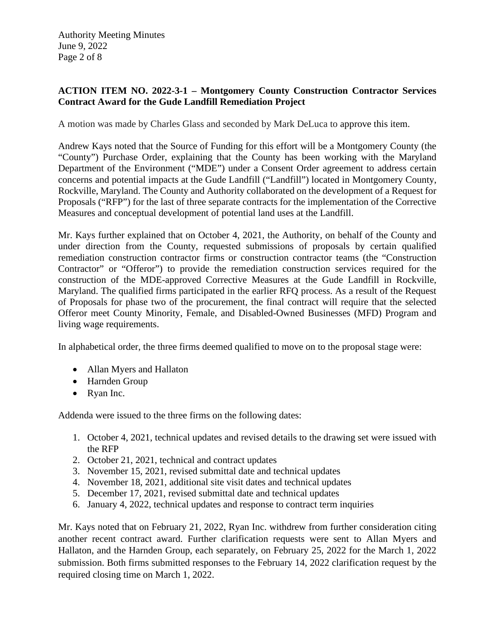## **ACTION ITEM NO. 2022-3-1 – Montgomery County Construction Contractor Services Contract Award for the Gude Landfill Remediation Project**

A motion was made by Charles Glass and seconded by Mark DeLuca to approve this item.

Andrew Kays noted that the Source of Funding for this effort will be a Montgomery County (the "County") Purchase Order, explaining that the County has been working with the Maryland Department of the Environment ("MDE") under a Consent Order agreement to address certain concerns and potential impacts at the Gude Landfill ("Landfill") located in Montgomery County, Rockville, Maryland. The County and Authority collaborated on the development of a Request for Proposals ("RFP") for the last of three separate contracts for the implementation of the Corrective Measures and conceptual development of potential land uses at the Landfill.

Mr. Kays further explained that on October 4, 2021, the Authority, on behalf of the County and under direction from the County, requested submissions of proposals by certain qualified remediation construction contractor firms or construction contractor teams (the "Construction Contractor" or "Offeror") to provide the remediation construction services required for the construction of the MDE-approved Corrective Measures at the Gude Landfill in Rockville, Maryland. The qualified firms participated in the earlier RFQ process. As a result of the Request of Proposals for phase two of the procurement, the final contract will require that the selected Offeror meet County Minority, Female, and Disabled-Owned Businesses (MFD) Program and living wage requirements.

In alphabetical order, the three firms deemed qualified to move on to the proposal stage were:

- Allan Myers and Hallaton
- Harnden Group
- Ryan Inc.

Addenda were issued to the three firms on the following dates:

- 1. October 4, 2021, technical updates and revised details to the drawing set were issued with the RFP
- 2. October 21, 2021, technical and contract updates
- 3. November 15, 2021, revised submittal date and technical updates
- 4. November 18, 2021, additional site visit dates and technical updates
- 5. December 17, 2021, revised submittal date and technical updates
- 6. January 4, 2022, technical updates and response to contract term inquiries

Mr. Kays noted that on February 21, 2022, Ryan Inc. withdrew from further consideration citing another recent contract award. Further clarification requests were sent to Allan Myers and Hallaton, and the Harnden Group, each separately, on February 25, 2022 for the March 1, 2022 submission. Both firms submitted responses to the February 14, 2022 clarification request by the required closing time on March 1, 2022.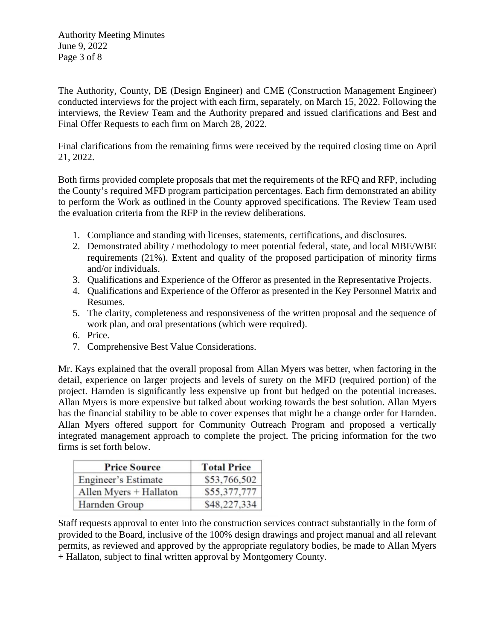Authority Meeting Minutes June 9, 2022 Page 3 of 8

The Authority, County, DE (Design Engineer) and CME (Construction Management Engineer) conducted interviews for the project with each firm, separately, on March 15, 2022. Following the interviews, the Review Team and the Authority prepared and issued clarifications and Best and Final Offer Requests to each firm on March 28, 2022.

Final clarifications from the remaining firms were received by the required closing time on April 21, 2022.

Both firms provided complete proposals that met the requirements of the RFQ and RFP, including the County's required MFD program participation percentages. Each firm demonstrated an ability to perform the Work as outlined in the County approved specifications. The Review Team used the evaluation criteria from the RFP in the review deliberations.

- 1. Compliance and standing with licenses, statements, certifications, and disclosures.
- 2. Demonstrated ability / methodology to meet potential federal, state, and local MBE/WBE requirements (21%). Extent and quality of the proposed participation of minority firms and/or individuals.
- 3. Qualifications and Experience of the Offeror as presented in the Representative Projects.
- 4. Qualifications and Experience of the Offeror as presented in the Key Personnel Matrix and Resumes.
- 5. The clarity, completeness and responsiveness of the written proposal and the sequence of work plan, and oral presentations (which were required).
- 6. Price.
- 7. Comprehensive Best Value Considerations.

Mr. Kays explained that the overall proposal from Allan Myers was better, when factoring in the detail, experience on larger projects and levels of surety on the MFD (required portion) of the project. Harnden is significantly less expensive up front but hedged on the potential increases. Allan Myers is more expensive but talked about working towards the best solution. Allan Myers has the financial stability to be able to cover expenses that might be a change order for Harnden. Allan Myers offered support for Community Outreach Program and proposed a vertically integrated management approach to complete the project. The pricing information for the two firms is set forth below.

| <b>Price Source</b>           | <b>Total Price</b><br>\$53,766,502 |  |
|-------------------------------|------------------------------------|--|
| Engineer's Estimate           |                                    |  |
| Allen Myers + Hallaton        | \$55,377,777                       |  |
| \$48,227,334<br>Harnden Group |                                    |  |

Staff requests approval to enter into the construction services contract substantially in the form of provided to the Board, inclusive of the 100% design drawings and project manual and all relevant permits, as reviewed and approved by the appropriate regulatory bodies, be made to Allan Myers + Hallaton, subject to final written approval by Montgomery County.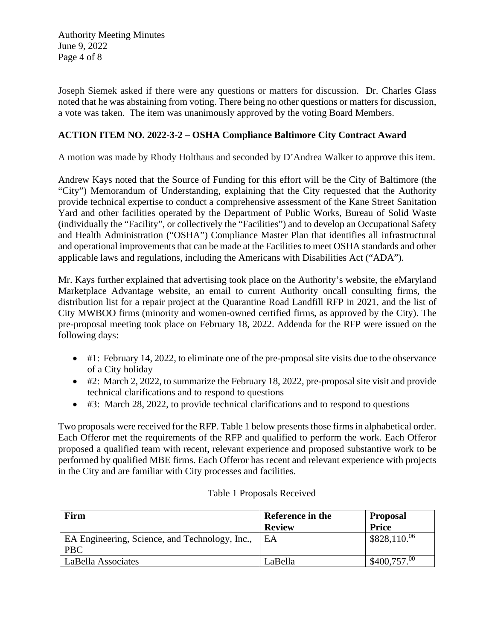Authority Meeting Minutes June 9, 2022 Page 4 of 8

Joseph Siemek asked if there were any questions or matters for discussion. Dr. Charles Glass noted that he was abstaining from voting. There being no other questions or matters for discussion, a vote was taken. The item was unanimously approved by the voting Board Members.

## **ACTION ITEM NO. 2022-3-2 – OSHA Compliance Baltimore City Contract Award**

A motion was made by Rhody Holthaus and seconded by D'Andrea Walker to approve this item.

Andrew Kays noted that the Source of Funding for this effort will be the City of Baltimore (the "City") Memorandum of Understanding, explaining that the City requested that the Authority provide technical expertise to conduct a comprehensive assessment of the Kane Street Sanitation Yard and other facilities operated by the Department of Public Works, Bureau of Solid Waste (individually the "Facility", or collectively the "Facilities") and to develop an Occupational Safety and Health Administration ("OSHA") Compliance Master Plan that identifies all infrastructural and operational improvements that can be made at the Facilities to meet OSHA standards and other applicable laws and regulations, including the Americans with Disabilities Act ("ADA").

Mr. Kays further explained that advertising took place on the Authority's website, the eMaryland Marketplace Advantage website, an email to current Authority oncall consulting firms, the distribution list for a repair project at the Quarantine Road Landfill RFP in 2021, and the list of City MWBOO firms (minority and women-owned certified firms, as approved by the City). The pre-proposal meeting took place on February 18, 2022. Addenda for the RFP were issued on the following days:

- #1: February 14, 2022, to eliminate one of the pre-proposal site visits due to the observance of a City holiday
- #2: March 2, 2022, to summarize the February 18, 2022, pre-proposal site visit and provide technical clarifications and to respond to questions
- #3: March 28, 2022, to provide technical clarifications and to respond to questions

Two proposals were received for the RFP. Table 1 below presents those firms in alphabetical order. Each Offeror met the requirements of the RFP and qualified to perform the work. Each Offeror proposed a qualified team with recent, relevant experience and proposed substantive work to be performed by qualified MBE firms. Each Offeror has recent and relevant experience with projects in the City and are familiar with City processes and facilities.

| Firm                                                         | Reference in the<br><b>Review</b> | <b>Proposal</b><br><b>Price</b> |
|--------------------------------------------------------------|-----------------------------------|---------------------------------|
| EA Engineering, Science, and Technology, Inc.,<br><b>PBC</b> | EΑ                                | $$828,110^{06}$                 |
| LaBella Associates                                           | LaBella                           | $$400,757.^{00}$                |

#### Table 1 Proposals Received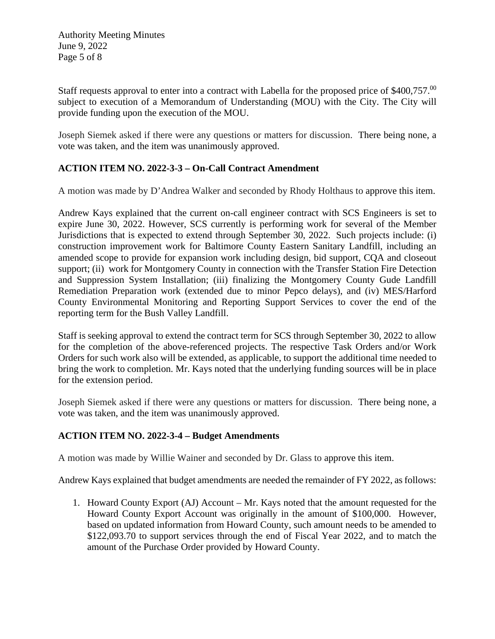Authority Meeting Minutes June 9, 2022 Page 5 of 8

Staff requests approval to enter into a contract with Labella for the proposed price of \$400,757.<sup>00</sup> subject to execution of a Memorandum of Understanding (MOU) with the City. The City will provide funding upon the execution of the MOU.

Joseph Siemek asked if there were any questions or matters for discussion. There being none, a vote was taken, and the item was unanimously approved.

# **ACTION ITEM NO. 2022-3-3 – On-Call Contract Amendment**

A motion was made by D'Andrea Walker and seconded by Rhody Holthaus to approve this item.

Andrew Kays explained that the current on-call engineer contract with SCS Engineers is set to expire June 30, 2022. However, SCS currently is performing work for several of the Member Jurisdictions that is expected to extend through September 30, 2022. Such projects include: (i) construction improvement work for Baltimore County Eastern Sanitary Landfill, including an amended scope to provide for expansion work including design, bid support, CQA and closeout support; (ii) work for Montgomery County in connection with the Transfer Station Fire Detection and Suppression System Installation; (iii) finalizing the Montgomery County Gude Landfill Remediation Preparation work (extended due to minor Pepco delays), and (iv) MES/Harford County Environmental Monitoring and Reporting Support Services to cover the end of the reporting term for the Bush Valley Landfill.

Staff is seeking approval to extend the contract term for SCS through September 30, 2022 to allow for the completion of the above-referenced projects. The respective Task Orders and/or Work Orders for such work also will be extended, as applicable, to support the additional time needed to bring the work to completion. Mr. Kays noted that the underlying funding sources will be in place for the extension period.

Joseph Siemek asked if there were any questions or matters for discussion. There being none, a vote was taken, and the item was unanimously approved.

## **ACTION ITEM NO. 2022-3-4 – Budget Amendments**

A motion was made by Willie Wainer and seconded by Dr. Glass to approve this item.

Andrew Kays explained that budget amendments are needed the remainder of FY 2022, as follows:

1. Howard County Export (AJ) Account – Mr. Kays noted that the amount requested for the Howard County Export Account was originally in the amount of \$100,000. However, based on updated information from Howard County, such amount needs to be amended to \$122,093.70 to support services through the end of Fiscal Year 2022, and to match the amount of the Purchase Order provided by Howard County.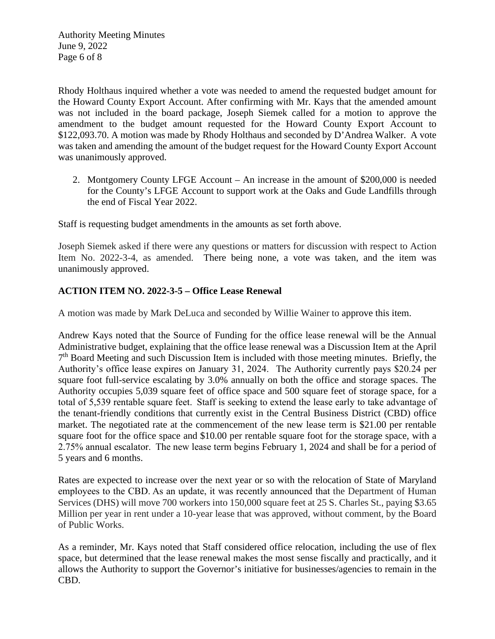Authority Meeting Minutes June 9, 2022 Page 6 of 8

Rhody Holthaus inquired whether a vote was needed to amend the requested budget amount for the Howard County Export Account. After confirming with Mr. Kays that the amended amount was not included in the board package, Joseph Siemek called for a motion to approve the amendment to the budget amount requested for the Howard County Export Account to \$122,093.70. A motion was made by Rhody Holthaus and seconded by D'Andrea Walker. A vote was taken and amending the amount of the budget request for the Howard County Export Account was unanimously approved.

2. Montgomery County LFGE Account – An increase in the amount of \$200,000 is needed for the County's LFGE Account to support work at the Oaks and Gude Landfills through the end of Fiscal Year 2022.

Staff is requesting budget amendments in the amounts as set forth above.

Joseph Siemek asked if there were any questions or matters for discussion with respect to Action Item No. 2022-3-4, as amended. There being none, a vote was taken, and the item was unanimously approved.

#### **ACTION ITEM NO. 2022-3-5 – Office Lease Renewal**

A motion was made by Mark DeLuca and seconded by Willie Wainer to approve this item.

Andrew Kays noted that the Source of Funding for the office lease renewal will be the Annual Administrative budget, explaining that the office lease renewal was a Discussion Item at the April 7<sup>th</sup> Board Meeting and such Discussion Item is included with those meeting minutes. Briefly, the Authority's office lease expires on January 31, 2024.   The Authority currently pays \$20.24 per square foot full-service escalating by 3.0% annually on both the office and storage spaces. The Authority occupies 5,039 square feet of office space and 500 square feet of storage space, for a total of 5,539 rentable square feet.  Staff is seeking to extend the lease early to take advantage of the tenant-friendly conditions that currently exist in the Central Business District (CBD) office market. The negotiated rate at the commencement of the new lease term is \$21.00 per rentable square foot for the office space and \$10.00 per rentable square foot for the storage space, with a 2.75% annual escalator.  The new lease term begins February 1, 2024 and shall be for a period of 5 years and 6 months.

Rates are expected to increase over the next year or so with the relocation of State of Maryland employees to the CBD. As an update, it was recently announced that the Department of Human Services (DHS) will move 700 workers into 150,000 square feet at 25 S. Charles St., paying \$3.65 Million per year in rent under a 10-year lease that was approved, without comment, by the Board of Public Works.

As a reminder, Mr. Kays noted that Staff considered office relocation, including the use of flex space, but determined that the lease renewal makes the most sense fiscally and practically, and it allows the Authority to support the Governor's initiative for businesses/agencies to remain in the CBD.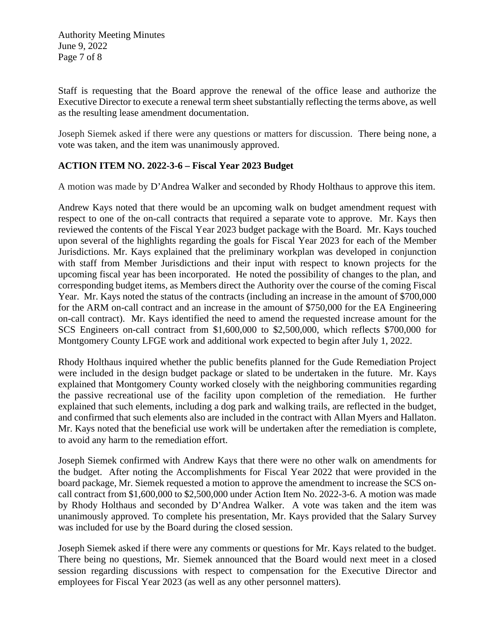Authority Meeting Minutes June 9, 2022 Page 7 of 8

Staff is requesting that the Board approve the renewal of the office lease and authorize the Executive Director to execute a renewal term sheet substantially reflecting the terms above, as well as the resulting lease amendment documentation.

Joseph Siemek asked if there were any questions or matters for discussion. There being none, a vote was taken, and the item was unanimously approved.

## **ACTION ITEM NO. 2022-3-6 – Fiscal Year 2023 Budget**

A motion was made by D'Andrea Walker and seconded by Rhody Holthaus to approve this item.

Andrew Kays noted that there would be an upcoming walk on budget amendment request with respect to one of the on-call contracts that required a separate vote to approve. Mr. Kays then reviewed the contents of the Fiscal Year 2023 budget package with the Board. Mr. Kays touched upon several of the highlights regarding the goals for Fiscal Year 2023 for each of the Member Jurisdictions. Mr. Kays explained that the preliminary workplan was developed in conjunction with staff from Member Jurisdictions and their input with respect to known projects for the upcoming fiscal year has been incorporated. He noted the possibility of changes to the plan, and corresponding budget items, as Members direct the Authority over the course of the coming Fiscal Year. Mr. Kays noted the status of the contracts (including an increase in the amount of \$700,000 for the ARM on-call contract and an increase in the amount of \$750,000 for the EA Engineering on-call contract). Mr. Kays identified the need to amend the requested increase amount for the SCS Engineers on-call contract from \$1,600,000 to \$2,500,000, which reflects \$700,000 for Montgomery County LFGE work and additional work expected to begin after July 1, 2022.

Rhody Holthaus inquired whether the public benefits planned for the Gude Remediation Project were included in the design budget package or slated to be undertaken in the future. Mr. Kays explained that Montgomery County worked closely with the neighboring communities regarding the passive recreational use of the facility upon completion of the remediation. He further explained that such elements, including a dog park and walking trails, are reflected in the budget, and confirmed that such elements also are included in the contract with Allan Myers and Hallaton. Mr. Kays noted that the beneficial use work will be undertaken after the remediation is complete, to avoid any harm to the remediation effort.

Joseph Siemek confirmed with Andrew Kays that there were no other walk on amendments for the budget. After noting the Accomplishments for Fiscal Year 2022 that were provided in the board package, Mr. Siemek requested a motion to approve the amendment to increase the SCS oncall contract from \$1,600,000 to \$2,500,000 under Action Item No. 2022-3-6. A motion was made by Rhody Holthaus and seconded by D'Andrea Walker. A vote was taken and the item was unanimously approved. To complete his presentation, Mr. Kays provided that the Salary Survey was included for use by the Board during the closed session.

Joseph Siemek asked if there were any comments or questions for Mr. Kays related to the budget. There being no questions, Mr. Siemek announced that the Board would next meet in a closed session regarding discussions with respect to compensation for the Executive Director and employees for Fiscal Year 2023 (as well as any other personnel matters).